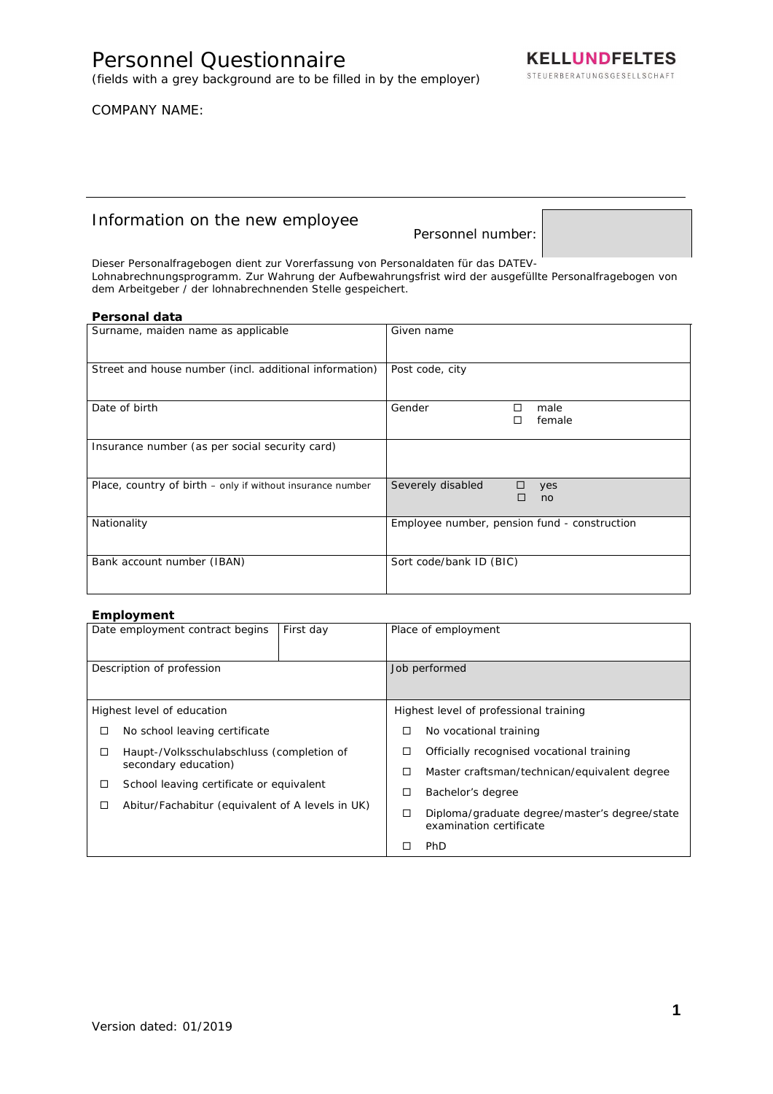(fields with a grey background are to be filled in by the employer)

## COMPANY NAME:

# Information on the new employee

Personnel number:

Dieser Personalfragebogen dient zur Vorerfassung von Personaldaten für das DATEV-Lohnabrechnungsprogramm. Zur Wahrung der Aufbewahrungsfrist wird der ausgefüllte Personalfragebogen von dem Arbeitgeber / der lohnabrechnenden Stelle gespeichert.

#### **Personal data**

| Surname, maiden name as applicable                         | Given name                                   |
|------------------------------------------------------------|----------------------------------------------|
| Street and house number (incl. additional information)     | Post code, city                              |
| Date of birth                                              | Gender<br>male<br>П<br>female                |
| Insurance number (as per social security card)             |                                              |
| Place, country of birth – only if without insurance number | Severely disabled<br>yes<br>no               |
| Nationality                                                | Employee number, pension fund - construction |
| Bank account number (IBAN)                                 | Sort code/bank ID (BIC)                      |

#### **Employment**

|                                                | p.v.y<br>Date employment contract begins         | First day | Place of employment                       |                                                                          |
|------------------------------------------------|--------------------------------------------------|-----------|-------------------------------------------|--------------------------------------------------------------------------|
|                                                | Description of profession                        |           | Job performed                             |                                                                          |
|                                                | Highest level of education                       |           |                                           | Highest level of professional training                                   |
| □                                              | No school leaving certificate                    |           | □                                         | No vocational training                                                   |
| Haupt-/Volksschulabschluss (completion of<br>□ |                                                  | ப         | Officially recognised vocational training |                                                                          |
|                                                | secondary education)                             |           | □                                         | Master craftsman/technican/equivalent degree                             |
| □                                              | School leaving certificate or equivalent         |           | □                                         | Bachelor's degree                                                        |
| □                                              | Abitur/Fachabitur (equivalent of A levels in UK) |           |                                           |                                                                          |
|                                                |                                                  |           | □                                         | Diploma/graduate degree/master's degree/state<br>examination certificate |
|                                                |                                                  |           |                                           | <b>PhD</b>                                                               |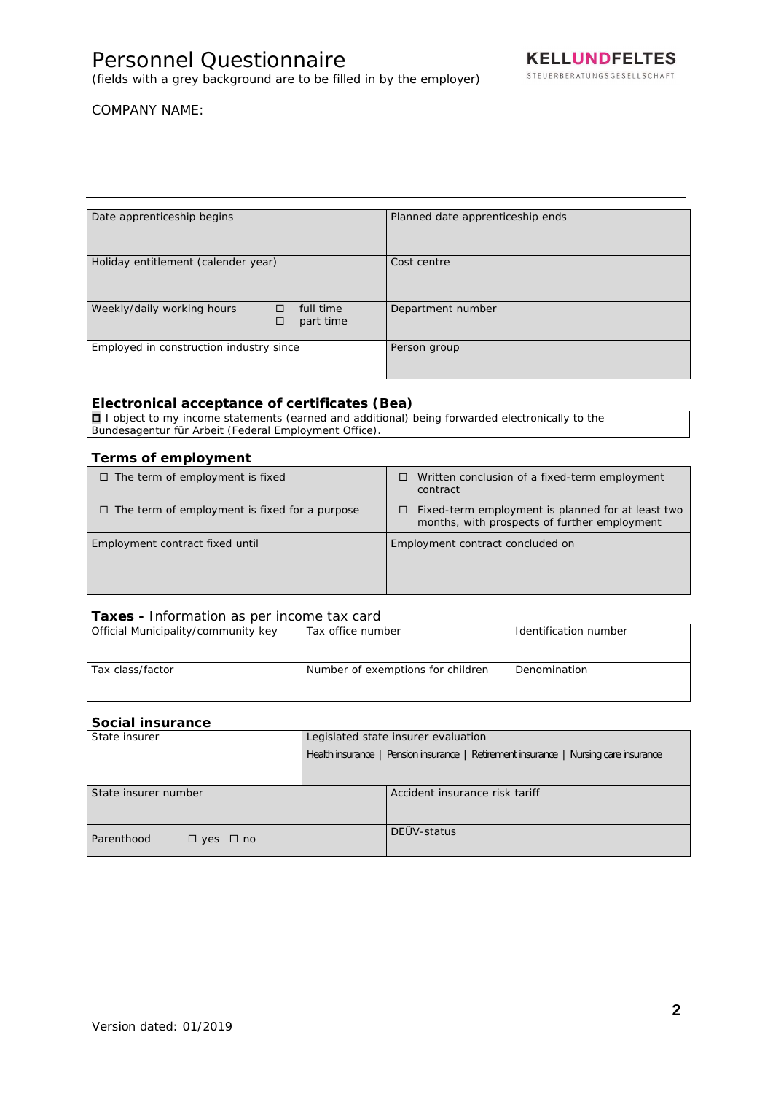# Personnel Questionnaire

(fields with a grey background are to be filled in by the employer)

# COMPANY NAME:

| Date apprenticeship begins                                     |  | Planned date apprenticeship ends |
|----------------------------------------------------------------|--|----------------------------------|
| Holiday entitlement (calender year)                            |  | Cost centre                      |
| Weekly/daily working hours<br>full time<br>П<br>□<br>part time |  | Department number                |
| Employed in construction industry since                        |  | Person group                     |

#### **Electronical acceptance of certificates (Bea)**

 $\Box$  I object to my income statements (earned and additional) being forwarded electronically to the Bundesagentur für Arbeit (Federal Employment Office).

## **Terms of employment**

| $\Box$ The term of employment is fixed               | Written conclusion of a fixed-term employment<br>□<br>contract                                         |
|------------------------------------------------------|--------------------------------------------------------------------------------------------------------|
| $\Box$ The term of employment is fixed for a purpose | Fixed-term employment is planned for at least two<br>□<br>months, with prospects of further employment |
| Employment contract fixed until                      | Employment contract concluded on                                                                       |

#### **Taxes -** Information as per income tax card

| Official Municipality/community key | Tax office number                 | Identification number |
|-------------------------------------|-----------------------------------|-----------------------|
|                                     |                                   |                       |
| Tax class/factor                    | Number of exemptions for children | Denomination          |
|                                     |                                   |                       |

## **Social insurance**

| State insurer                      | Legislated state insurer evaluation                                                  |  |
|------------------------------------|--------------------------------------------------------------------------------------|--|
|                                    | Health insurance   Pension insurance   Retirement insurance   Nursing care insurance |  |
|                                    |                                                                                      |  |
| State insurer number               | Accident insurance risk tariff                                                       |  |
| Parenthood<br>$\Box$ yes $\Box$ no | DEÜV-status                                                                          |  |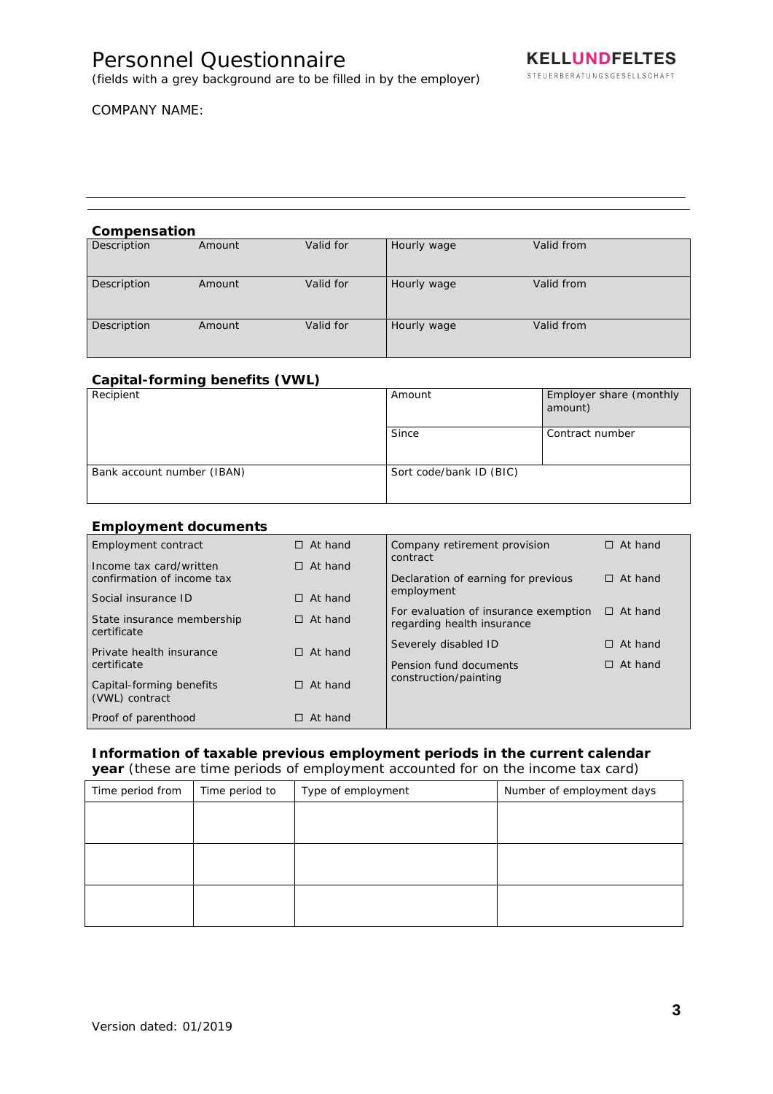# Personnel Questionnaire

(fields with a grey background are to be filled in by the employer)

# COMPANY NAME:

#### **Compensation**

| Description | Amount | Valid for | Hourly wage | Valid from |  |
|-------------|--------|-----------|-------------|------------|--|
| Description | Amount | Valid for | Hourly wage | Valid from |  |
| Description | Amount | Valid for | Hourly wage | Valid from |  |

# **Capital-forming benefits (VWL)**

| Recipient                  | Amount                  | Employer share (monthly<br>amount) |
|----------------------------|-------------------------|------------------------------------|
|                            | Since                   | Contract number                    |
| Bank account number (IBAN) | Sort code/bank ID (BIC) |                                    |

#### **Employment documents**

| $=$ p. $=$ , $=$ $=$ $=$ $=$ $=$ $=$                  |                |                                                                     |                |
|-------------------------------------------------------|----------------|---------------------------------------------------------------------|----------------|
| Employment contract                                   | $\Box$ At hand | Company retirement provision<br>contract                            | $\Box$ At hand |
| Income tax card/written<br>confirmation of income tax | $\Box$ At hand | Declaration of earning for previous                                 | $\Box$ At hand |
| Social insurance ID                                   | $\Box$ At hand | employment                                                          |                |
| State insurance membership<br>certificate             | $\Box$ At hand | For evaluation of insurance exemption<br>regarding health insurance | $\Box$ At hand |
| Private health insurance                              | $\Box$ At hand | Severely disabled ID                                                | $\Box$ At hand |
| certificate                                           |                | Pension fund documents                                              | $\Box$ At hand |
| Capital-forming benefits<br>(VWL) contract            | $\Box$ At hand | construction/painting                                               |                |
| Proof of parenthood                                   | At hand        |                                                                     |                |

# **Information of taxable previous employment periods in the current calendar year** (these are time periods of employment accounted for on the income tax card)

| Time period from | Time period to | Type of employment | Number of employment days |
|------------------|----------------|--------------------|---------------------------|
|                  |                |                    |                           |
|                  |                |                    |                           |
|                  |                |                    |                           |
|                  |                |                    |                           |
|                  |                |                    |                           |
|                  |                |                    |                           |